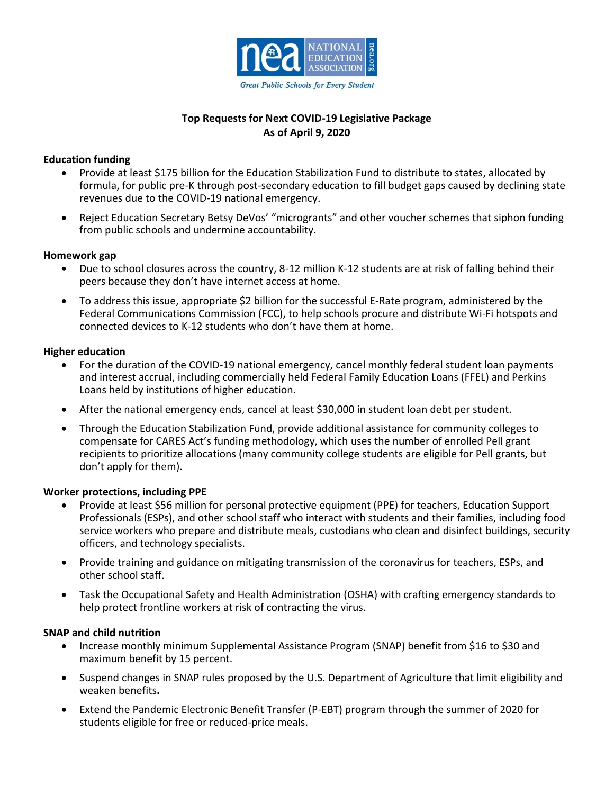

# **Top Requests for Next COVID-19 Legislative Package As of April 9, 2020**

## **Education funding**

- Provide at least \$175 billion for the Education Stabilization Fund to distribute to states, allocated by formula, for public pre-K through post-secondary education to fill budget gaps caused by declining state revenues due to the COVID-19 national emergency.
- Reject Education Secretary Betsy DeVos' "microgrants" and other voucher schemes that siphon funding from public schools and undermine accountability.

### **Homework gap**

- Due to school closures across the country, 8-12 million K-12 students are at risk of falling behind their peers because they don't have internet access at home.
- To address this issue, appropriate \$2 billion for the successful E-Rate program, administered by the Federal Communications Commission (FCC), to help schools procure and distribute Wi-Fi hotspots and connected devices to K-12 students who don't have them at home.

### **Higher education**

- For the duration of the COVID-19 national emergency, cancel monthly federal student loan payments and interest accrual, including commercially held Federal Family Education Loans (FFEL) and Perkins Loans held by institutions of higher education.
- After the national emergency ends, cancel at least \$30,000 in student loan debt per student.
- Through the Education Stabilization Fund, provide additional assistance for community colleges to compensate for CARES Act's funding methodology, which uses the number of enrolled Pell grant recipients to prioritize allocations (many community college students are eligible for Pell grants, but don't apply for them).

#### **Worker protections, including PPE**

- Provide at least \$56 million for personal protective equipment (PPE) for teachers, Education Support Professionals (ESPs), and other school staff who interact with students and their families, including food service workers who prepare and distribute meals, custodians who clean and disinfect buildings, security officers, and technology specialists.
- Provide training and guidance on mitigating transmission of the coronavirus for teachers, ESPs, and other school staff.
- Task the Occupational Safety and Health Administration (OSHA) with crafting emergency standards to help protect frontline workers at risk of contracting the virus.

#### **SNAP and child nutrition**

- Increase monthly minimum Supplemental Assistance Program (SNAP) benefit from \$16 to \$30 and maximum benefit by 15 percent.
- Suspend changes in SNAP rules proposed by the U.S. Department of Agriculture that limit eligibility and weaken benefits**.**
- Extend the Pandemic Electronic Benefit Transfer (P-EBT) program through the summer of 2020 for students eligible for free or reduced-price meals.